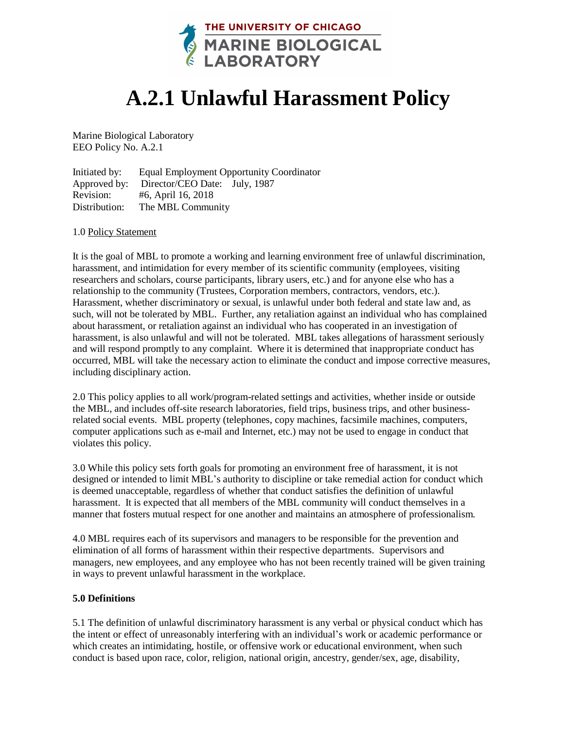

# **A.2.1 Unlawful Harassment Policy**

Marine Biological Laboratory EEO Policy No. A.2.1

Initiated by: Equal Employment Opportunity Coordinator Approved by: Director/CEO Date: July, 1987 Revision: #6, April 16, 2018 Distribution: The MBL Community

## 1.0 Policy Statement

It is the goal of MBL to promote a working and learning environment free of unlawful discrimination, harassment, and intimidation for every member of its scientific community (employees, visiting researchers and scholars, course participants, library users, etc.) and for anyone else who has a relationship to the community (Trustees, Corporation members, contractors, vendors, etc.). Harassment, whether discriminatory or sexual, is unlawful under both federal and state law and, as such, will not be tolerated by MBL. Further, any retaliation against an individual who has complained about harassment, or retaliation against an individual who has cooperated in an investigation of harassment, is also unlawful and will not be tolerated. MBL takes allegations of harassment seriously and will respond promptly to any complaint. Where it is determined that inappropriate conduct has occurred, MBL will take the necessary action to eliminate the conduct and impose corrective measures, including disciplinary action.

2.0 This policy applies to all work/program-related settings and activities, whether inside or outside the MBL, and includes off-site research laboratories, field trips, business trips, and other businessrelated social events. MBL property (telephones, copy machines, facsimile machines, computers, computer applications such as e-mail and Internet, etc.) may not be used to engage in conduct that violates this policy.

3.0 While this policy sets forth goals for promoting an environment free of harassment, it is not designed or intended to limit MBL's authority to discipline or take remedial action for conduct which is deemed unacceptable, regardless of whether that conduct satisfies the definition of unlawful harassment. It is expected that all members of the MBL community will conduct themselves in a manner that fosters mutual respect for one another and maintains an atmosphere of professionalism.

4.0 MBL requires each of its supervisors and managers to be responsible for the prevention and elimination of all forms of harassment within their respective departments. Supervisors and managers, new employees, and any employee who has not been recently trained will be given training in ways to prevent unlawful harassment in the workplace.

# **5.0 Definitions**

5.1 The definition of unlawful discriminatory harassment is any verbal or physical conduct which has the intent or effect of unreasonably interfering with an individual's work or academic performance or which creates an intimidating, hostile, or offensive work or educational environment, when such conduct is based upon race, color, religion, national origin, ancestry, gender/sex, age, disability,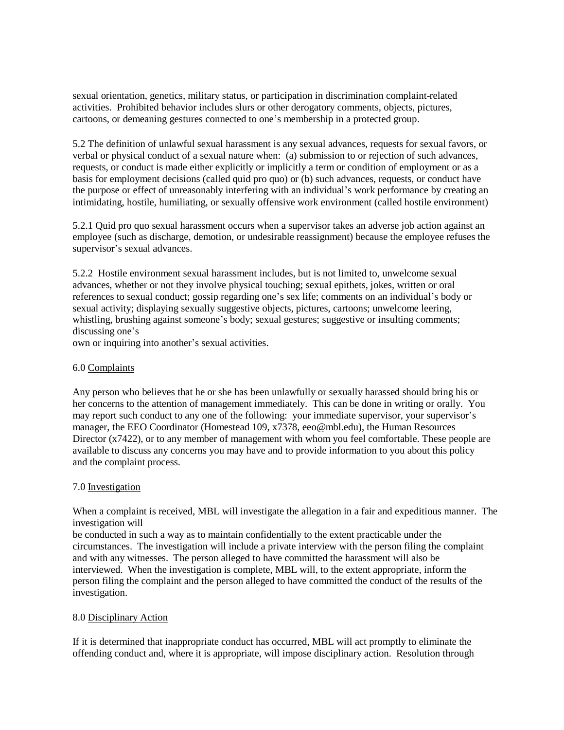sexual orientation, genetics, military status, or participation in discrimination complaint-related activities. Prohibited behavior includes slurs or other derogatory comments, objects, pictures, cartoons, or demeaning gestures connected to one's membership in a protected group.

5.2 The definition of unlawful sexual harassment is any sexual advances, requests for sexual favors, or verbal or physical conduct of a sexual nature when: (a) submission to or rejection of such advances, requests, or conduct is made either explicitly or implicitly a term or condition of employment or as a basis for employment decisions (called quid pro quo) or (b) such advances, requests, or conduct have the purpose or effect of unreasonably interfering with an individual's work performance by creating an intimidating, hostile, humiliating, or sexually offensive work environment (called hostile environment)

5.2.1 Quid pro quo sexual harassment occurs when a supervisor takes an adverse job action against an employee (such as discharge, demotion, or undesirable reassignment) because the employee refuses the supervisor's sexual advances.

5.2.2 Hostile environment sexual harassment includes, but is not limited to, unwelcome sexual advances, whether or not they involve physical touching; sexual epithets, jokes, written or oral references to sexual conduct; gossip regarding one's sex life; comments on an individual's body or sexual activity; displaying sexually suggestive objects, pictures, cartoons; unwelcome leering, whistling, brushing against someone's body; sexual gestures; suggestive or insulting comments; discussing one's

own or inquiring into another's sexual activities.

# 6.0 Complaints

Any person who believes that he or she has been unlawfully or sexually harassed should bring his or her concerns to the attention of management immediately. This can be done in writing or orally. You may report such conduct to any one of the following: your immediate supervisor, your supervisor's manager, the EEO Coordinator (Homestead 109, x7378, eeo@mbl.edu), the Human Resources Director (x7422), or to any member of management with whom you feel comfortable. These people are available to discuss any concerns you may have and to provide information to you about this policy and the complaint process.

# 7.0 Investigation

When a complaint is received, MBL will investigate the allegation in a fair and expeditious manner. The investigation will

be conducted in such a way as to maintain confidentially to the extent practicable under the circumstances. The investigation will include a private interview with the person filing the complaint and with any witnesses. The person alleged to have committed the harassment will also be interviewed. When the investigation is complete, MBL will, to the extent appropriate, inform the person filing the complaint and the person alleged to have committed the conduct of the results of the investigation.

# 8.0 Disciplinary Action

If it is determined that inappropriate conduct has occurred, MBL will act promptly to eliminate the offending conduct and, where it is appropriate, will impose disciplinary action. Resolution through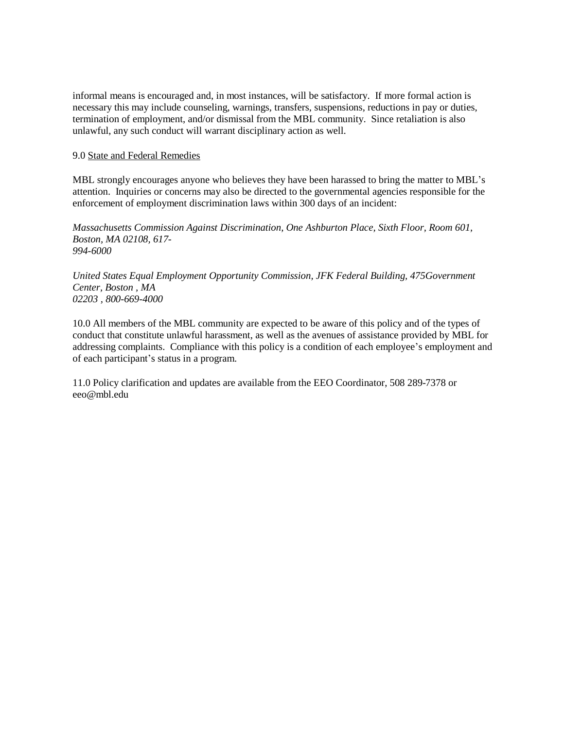informal means is encouraged and, in most instances, will be satisfactory. If more formal action is necessary this may include counseling, warnings, transfers, suspensions, reductions in pay or duties, termination of employment, and/or dismissal from the MBL community. Since retaliation is also unlawful, any such conduct will warrant disciplinary action as well.

#### 9.0 State and Federal Remedies

MBL strongly encourages anyone who believes they have been harassed to bring the matter to MBL's attention. Inquiries or concerns may also be directed to the governmental agencies responsible for the enforcement of employment discrimination laws within 300 days of an incident:

*Massachusetts Commission Against Discrimination, One Ashburton Place, Sixth Floor, Room 601, Boston, MA 02108, 617- 994-6000*

*United States Equal Employment Opportunity Commission, JFK Federal Building, 475Government Center, Boston , MA 02203 , 800-669-4000*

10.0 All members of the MBL community are expected to be aware of this policy and of the types of conduct that constitute unlawful harassment, as well as the avenues of assistance provided by MBL for addressing complaints. Compliance with this policy is a condition of each employee's employment and of each participant's status in a program.

11.0 Policy clarification and updates are available from the EEO Coordinator, 508 289-7378 or [eeo@mbl.edu](mailto:eeo@mbl.edu)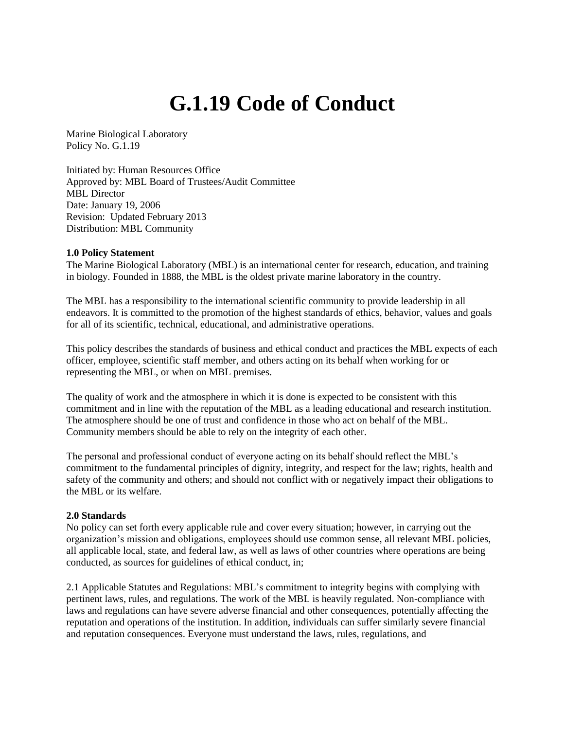# **G.1.19 Code of Conduct**

Marine Biological Laboratory Policy No. G.1.19

Initiated by: Human Resources Office Approved by: MBL Board of Trustees/Audit Committee MBL Director Date: January 19, 2006 Revision: Updated February 2013 Distribution: MBL Community

## **1.0 Policy Statement**

The Marine Biological Laboratory (MBL) is an international center for research, education, and training in biology. Founded in 1888, the MBL is the oldest private marine laboratory in the country.

The MBL has a responsibility to the international scientific community to provide leadership in all endeavors. It is committed to the promotion of the highest standards of ethics, behavior, values and goals for all of its scientific, technical, educational, and administrative operations.

This policy describes the standards of business and ethical conduct and practices the MBL expects of each officer, employee, scientific staff member, and others acting on its behalf when working for or representing the MBL, or when on MBL premises.

The quality of work and the atmosphere in which it is done is expected to be consistent with this commitment and in line with the reputation of the MBL as a leading educational and research institution. The atmosphere should be one of trust and confidence in those who act on behalf of the MBL. Community members should be able to rely on the integrity of each other.

The personal and professional conduct of everyone acting on its behalf should reflect the MBL's commitment to the fundamental principles of dignity, integrity, and respect for the law; rights, health and safety of the community and others; and should not conflict with or negatively impact their obligations to the MBL or its welfare.

#### **2.0 Standards**

No policy can set forth every applicable rule and cover every situation; however, in carrying out the organization's mission and obligations, employees should use common sense, all relevant MBL policies, all applicable local, state, and federal law, as well as laws of other countries where operations are being conducted, as sources for guidelines of ethical conduct, in;

2.1 Applicable Statutes and Regulations: MBL's commitment to integrity begins with complying with pertinent laws, rules, and regulations. The work of the MBL is heavily regulated. Non-compliance with laws and regulations can have severe adverse financial and other consequences, potentially affecting the reputation and operations of the institution. In addition, individuals can suffer similarly severe financial and reputation consequences. Everyone must understand the laws, rules, regulations, and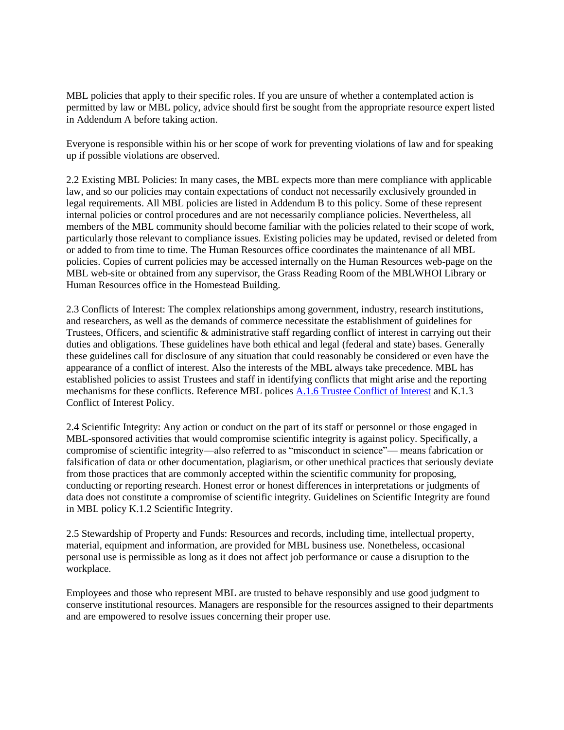MBL policies that apply to their specific roles. If you are unsure of whether a contemplated action is permitted by law or MBL policy, advice should first be sought from the appropriate resource expert listed in Addendum A before taking action.

Everyone is responsible within his or her scope of work for preventing violations of law and for speaking up if possible violations are observed.

2.2 Existing MBL Policies: In many cases, the MBL expects more than mere compliance with applicable law, and so our policies may contain expectations of conduct not necessarily exclusively grounded in legal requirements. All MBL policies are listed in Addendum B to this policy. Some of these represent internal policies or control procedures and are not necessarily compliance policies. Nevertheless, all members of the MBL community should become familiar with the policies related to their scope of work, particularly those relevant to compliance issues. Existing policies may be updated, revised or deleted from or added to from time to time. The Human Resources office coordinates the maintenance of all MBL policies. Copies of current policies may be accessed internally on the Human Resources web-page on the MBL web-site or obtained from any supervisor, the Grass Reading Room of the MBLWHOI Library or Human Resources office in the Homestead Building.

2.3 Conflicts of Interest: The complex relationships among government, industry, research institutions, and researchers, as well as the demands of commerce necessitate the establishment of guidelines for Trustees, Officers, and scientific & administrative staff regarding conflict of interest in carrying out their duties and obligations. These guidelines have both ethical and legal (federal and state) bases. Generally these guidelines call for disclosure of any situation that could reasonably be considered or even have the appearance of a conflict of interest. Also the interests of the MBL always take precedence. MBL has established policies to assist Trustees and staff in identifying conflicts that might arise and the reporting mechanisms for these conflicts. Reference MBL polices [A.1.6 Trustee Conflict of Interest](https://www.mbl.edu/policies/trustee-conflict-of-interest-policy/) and K.1.3 Conflict of Interest Policy.

2.4 Scientific Integrity: Any action or conduct on the part of its staff or personnel or those engaged in MBL-sponsored activities that would compromise scientific integrity is against policy. Specifically, a compromise of scientific integrity—also referred to as "misconduct in science"— means fabrication or falsification of data or other documentation, plagiarism, or other unethical practices that seriously deviate from those practices that are commonly accepted within the scientific community for proposing, conducting or reporting research. Honest error or honest differences in interpretations or judgments of data does not constitute a compromise of scientific integrity. Guidelines on Scientific Integrity are found in MBL policy K.1.2 Scientific Integrity.

2.5 Stewardship of Property and Funds: Resources and records, including time, intellectual property, material, equipment and information, are provided for MBL business use. Nonetheless, occasional personal use is permissible as long as it does not affect job performance or cause a disruption to the workplace.

Employees and those who represent MBL are trusted to behave responsibly and use good judgment to conserve institutional resources. Managers are responsible for the resources assigned to their departments and are empowered to resolve issues concerning their proper use.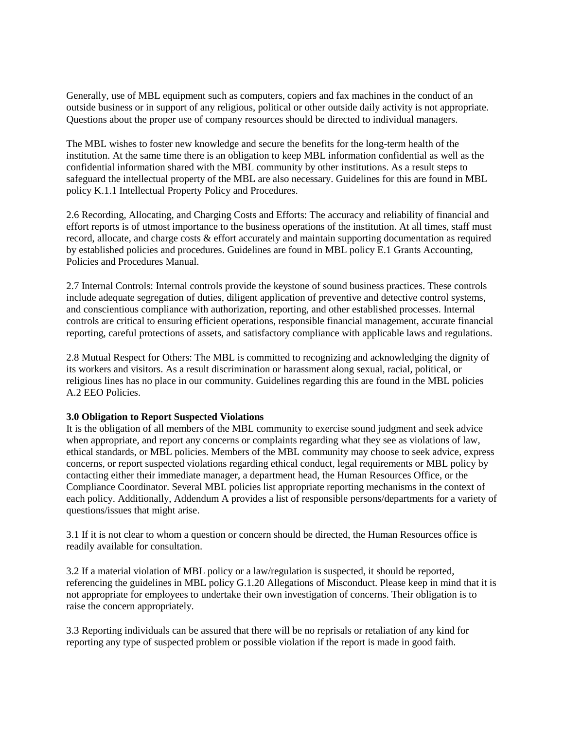Generally, use of MBL equipment such as computers, copiers and fax machines in the conduct of an outside business or in support of any religious, political or other outside daily activity is not appropriate. Questions about the proper use of company resources should be directed to individual managers.

The MBL wishes to foster new knowledge and secure the benefits for the long-term health of the institution. At the same time there is an obligation to keep MBL information confidential as well as the confidential information shared with the MBL community by other institutions. As a result steps to safeguard the intellectual property of the MBL are also necessary. Guidelines for this are found in MBL policy K.1.1 Intellectual Property Policy and Procedures.

2.6 Recording, Allocating, and Charging Costs and Efforts: The accuracy and reliability of financial and effort reports is of utmost importance to the business operations of the institution. At all times, staff must record, allocate, and charge costs & effort accurately and maintain supporting documentation as required by established policies and procedures. Guidelines are found in MBL policy E.1 Grants Accounting, Policies and Procedures Manual.

2.7 Internal Controls: Internal controls provide the keystone of sound business practices. These controls include adequate segregation of duties, diligent application of preventive and detective control systems, and conscientious compliance with authorization, reporting, and other established processes. Internal controls are critical to ensuring efficient operations, responsible financial management, accurate financial reporting, careful protections of assets, and satisfactory compliance with applicable laws and regulations.

2.8 Mutual Respect for Others: The MBL is committed to recognizing and acknowledging the dignity of its workers and visitors. As a result discrimination or harassment along sexual, racial, political, or religious lines has no place in our community. Guidelines regarding this are found in the MBL policies A.2 EEO Policies.

# **3.0 Obligation to Report Suspected Violations**

It is the obligation of all members of the MBL community to exercise sound judgment and seek advice when appropriate, and report any concerns or complaints regarding what they see as violations of law, ethical standards, or MBL policies. Members of the MBL community may choose to seek advice, express concerns, or report suspected violations regarding ethical conduct, legal requirements or MBL policy by contacting either their immediate manager, a department head, the Human Resources Office, or the Compliance Coordinator. Several MBL policies list appropriate reporting mechanisms in the context of each policy. Additionally, Addendum A provides a list of responsible persons/departments for a variety of questions/issues that might arise.

3.1 If it is not clear to whom a question or concern should be directed, the Human Resources office is readily available for consultation.

3.2 If a material violation of MBL policy or a law/regulation is suspected, it should be reported, referencing the guidelines in MBL policy G.1.20 Allegations of Misconduct. Please keep in mind that it is not appropriate for employees to undertake their own investigation of concerns. Their obligation is to raise the concern appropriately.

3.3 Reporting individuals can be assured that there will be no reprisals or retaliation of any kind for reporting any type of suspected problem or possible violation if the report is made in good faith.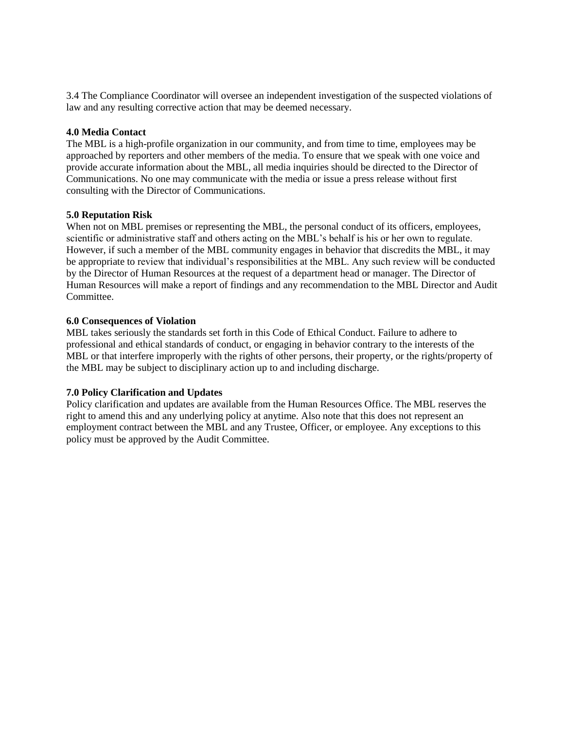3.4 The Compliance Coordinator will oversee an independent investigation of the suspected violations of law and any resulting corrective action that may be deemed necessary.

# **4.0 Media Contact**

The MBL is a high-profile organization in our community, and from time to time, employees may be approached by reporters and other members of the media. To ensure that we speak with one voice and provide accurate information about the MBL, all media inquiries should be directed to the Director of Communications. No one may communicate with the media or issue a press release without first consulting with the Director of Communications.

## **5.0 Reputation Risk**

When not on MBL premises or representing the MBL, the personal conduct of its officers, employees, scientific or administrative staff and others acting on the MBL's behalf is his or her own to regulate. However, if such a member of the MBL community engages in behavior that discredits the MBL, it may be appropriate to review that individual's responsibilities at the MBL. Any such review will be conducted by the Director of Human Resources at the request of a department head or manager. The Director of Human Resources will make a report of findings and any recommendation to the MBL Director and Audit Committee.

## **6.0 Consequences of Violation**

MBL takes seriously the standards set forth in this Code of Ethical Conduct. Failure to adhere to professional and ethical standards of conduct, or engaging in behavior contrary to the interests of the MBL or that interfere improperly with the rights of other persons, their property, or the rights/property of the MBL may be subject to disciplinary action up to and including discharge.

# **7.0 Policy Clarification and Updates**

Policy clarification and updates are available from the Human Resources Office. The MBL reserves the right to amend this and any underlying policy at anytime. Also note that this does not represent an employment contract between the MBL and any Trustee, Officer, or employee. Any exceptions to this policy must be approved by the Audit Committee.